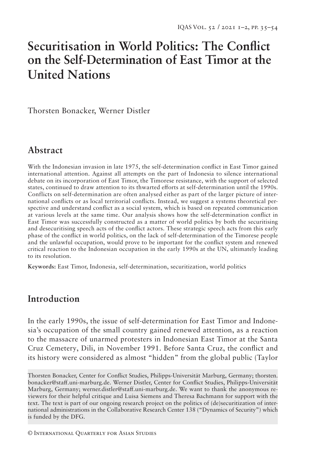# **Securitisation in World Politics: The Conflict on the Self-Determination of East Timor at the United Nations**

Thorsten Bonacker, Werner Distler

## **Abstract**

With the Indonesian invasion in late 1975, the self-determination conflict in East Timor gained international attention. Against all attempts on the part of Indonesia to silence international debate on its incorporation of East Timor, the Timorese resistance, with the support of selected states, continued to draw attention to its thwarted efforts at self-determination until the 1990s. Conflicts on self-determination are often analysed either as part of the larger picture of international conflicts or as local territorial conflicts. Instead, we suggest a systems theoretical perspective and understand conflict as a social system, which is based on repeated communication at various levels at the same time. Our analysis shows how the self-determination conflict in East Timor was successfully constructed as a matter of world politics by both the securitising and desecuritising speech acts of the conflict actors. These strategic speech acts from this early phase of the conflict in world politics, on the lack of self-determination of the Timorese people and the unlawful occupation, would prove to be important for the conflict system and renewed critical reaction to the Indonesian occupation in the early 1990s at the UN, ultimately leading to its resolution.

**Keywords:** East Timor, Indonesia, self-determination, securitization, world politics

### **Introduction**

In the early 1990s, the issue of self-determination for East Timor and Indonesia's occupation of the small country gained renewed attention, as a reaction to the massacre of unarmed protesters in Indonesian East Timor at the Santa Cruz Cemetery, Dili, in November 1991. Before Santa Cruz, the conflict and its history were considered as almost "hidden" from the global public (Taylor

Thorsten Bonacker, Center for Conflict Studies, Philipps-Universität Marburg, Germany; thorsten. bonacker@staff.uni-marburg.de. Werner Distler, Center for Conflict Studies, Philipps-Universität Marburg, Germany; werner.distler@staff.uni-marburg.de. We want to thank the anonymous reviewers for their helpful critique and Luisa Siemens and Theresa Bachmann for support with the text. The text is part of our ongoing research project on the politics of (de)securitization of international administrations in the Collaborative Research Center 138 ("Dynamics of Security") which is funded by the DFG.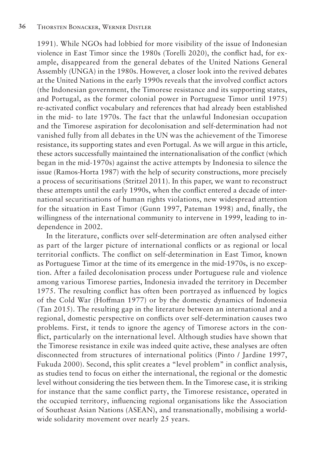1991). While NGOs had lobbied for more visibility of the issue of Indonesian violence in East Timor since the 1980s (Torelli 2020), the conflict had, for example, disappeared from the general debates of the United Nations General Assembly (UNGA) in the 1980s. However, a closer look into the revived debates at the United Nations in the early 1990s reveals that the involved conflict actors (the Indonesian government, the Timorese resistance and its supporting states, and Portugal, as the former colonial power in Portuguese Timor until 1975) re-activated conflict vocabulary and references that had already been established in the mid- to late 1970s. The fact that the unlawful Indonesian occupation and the Timorese aspiration for decolonisation and self-determination had not vanished fully from all debates in the UN was the achievement of the Timorese resistance, its supporting states and even Portugal. As we will argue in this article, these actors successfully maintained the internationalisation of the conflict (which began in the mid-1970s) against the active attempts by Indonesia to silence the issue (Ramos-Horta 1987) with the help of security constructions, more precisely a process of securitisations (Stritzel 2011). In this paper, we want to reconstruct these attempts until the early 1990s, when the conflict entered a decade of international securitisations of human rights violations, new widespread attention for the situation in East Timor (Gunn 1997, Pateman 1998) and, finally, the willingness of the international community to intervene in 1999, leading to independence in 2002.

In the literature, conflicts over self-determination are often analysed either as part of the larger picture of international conflicts or as regional or local territorial conflicts. The conflict on self-determination in East Timor, known as Portuguese Timor at the time of its emergence in the mid-1970s, is no exception. After a failed decolonisation process under Portuguese rule and violence among various Timorese parties, Indonesia invaded the territory in December 1975. The resulting conflict has often been portrayed as influenced by logics of the Cold War (Hoffman 1977) or by the domestic dynamics of Indonesia (Tan 2015). The resulting gap in the literature between an international and a regional, domestic perspective on conflicts over self-determination causes two problems. First, it tends to ignore the agency of Timorese actors in the conflict, particularly on the international level. Although studies have shown that the Timorese resistance in exile was indeed quite active, these analyses are often disconnected from structures of international politics (Pinto / Jardine 1997, Fukuda 2000). Second, this split creates a "level problem" in conflict analysis, as studies tend to focus on either the international, the regional or the domestic level without considering the ties between them. In the Timorese case, it is striking for instance that the same conflict party, the Timorese resistance, operated in the occupied territory, influencing regional organisations like the Association of Southeast Asian Nations (ASEAN), and transnationally, mobilising a worldwide solidarity movement over nearly 25 years.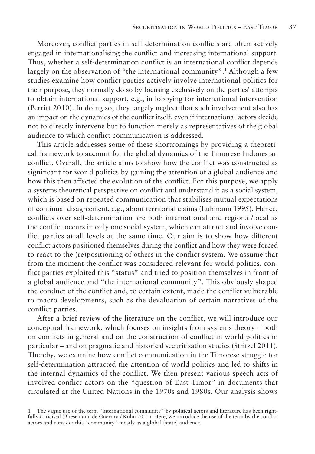Moreover, conflict parties in self-determination conflicts are often actively engaged in internationalising the conflict and increasing international support. Thus, whether a self-determination conflict is an international conflict depends largely on the observation of "the international community".<sup>1</sup> Although a few studies examine how conflict parties actively involve international politics for their purpose, they normally do so by focusing exclusively on the parties' attempts to obtain international support, e.g., in lobbying for international intervention (Perritt 2010). In doing so, they largely neglect that such involvement also has an impact on the dynamics of the conflict itself, even if international actors decide not to directly intervene but to function merely as representatives of the global audience to which conflict communication is addressed.

This article addresses some of these shortcomings by providing a theoretical framework to account for the global dynamics of the Timorese-Indonesian conflict. Overall, the article aims to show how the conflict was constructed as significant for world politics by gaining the attention of a global audience and how this then affected the evolution of the conflict. For this purpose, we apply a systems theoretical perspective on conflict and understand it as a social system, which is based on repeated communication that stabilises mutual expectations of continual disagreement, e.g., about territorial claims (Luhmann 1995). Hence, conflicts over self-determination are both international and regional/local as the conflict occurs in only one social system, which can attract and involve conflict parties at all levels at the same time. Our aim is to show how different conflict actors positioned themselves during the conflict and how they were forced to react to the (re)positioning of others in the conflict system. We assume that from the moment the conflict was considered relevant for world politics, conflict parties exploited this "status" and tried to position themselves in front of a global audience and "the international community". This obviously shaped the conduct of the conflict and, to certain extent, made the conflict vulnerable to macro developments, such as the devaluation of certain narratives of the conflict parties.

After a brief review of the literature on the conflict, we will introduce our conceptual framework, which focuses on insights from systems theory – both on conflicts in general and on the construction of conflict in world politics in particular – and on pragmatic and historical securitisation studies (Stritzel 2011). Thereby, we examine how conflict communication in the Timorese struggle for self-determination attracted the attention of world politics and led to shifts in the internal dynamics of the conflict. We then present various speech acts of involved conflict actors on the "question of East Timor" in documents that circulated at the United Nations in the 1970s and 1980s. Our analysis shows

<sup>1</sup> The vague use of the term "international community" by political actors and literature has been rightfully criticised (Bliesemann de Guevara / Kühn 2011). Here, we introduce the use of the term by the conflict actors and consider this "community" mostly as a global (state) audience.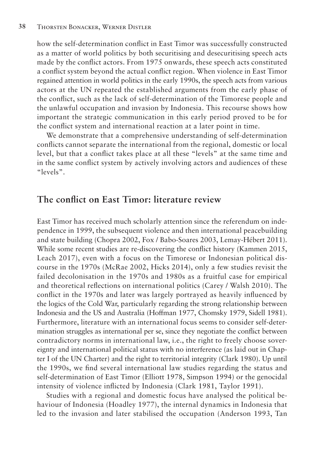how the self-determination conflict in East Timor was successfully constructed as a matter of world politics by both securitising and desecuritising speech acts made by the conflict actors. From 1975 onwards, these speech acts constituted a conflict system beyond the actual conflict region. When violence in East Timor regained attention in world politics in the early 1990s, the speech acts from various actors at the UN repeated the established arguments from the early phase of the conflict, such as the lack of self-determination of the Timorese people and the unlawful occupation and invasion by Indonesia. This recourse shows how important the strategic communication in this early period proved to be for the conflict system and international reaction at a later point in time.

We demonstrate that a comprehensive understanding of self-determination conflicts cannot separate the international from the regional, domestic or local level, but that a conflict takes place at all these "levels" at the same time and in the same conflict system by actively involving actors and audiences of these "levels".

#### **The conflict on East Timor: literature review**

East Timor has received much scholarly attention since the referendum on independence in 1999, the subsequent violence and then international peacebuilding and state building (Chopra 2002, Fox / Babo-Soares 2003, Lemay-Hébert 2011). While some recent studies are re-discovering the conflict history (Kammen 2015, Leach 2017), even with a focus on the Timorese or Indonesian political discourse in the 1970s (McRae 2002, Hicks 2014), only a few studies revisit the failed decolonisation in the 1970s and 1980s as a fruitful case for empirical and theoretical reflections on international politics (Carey / Walsh 2010). The conflict in the 1970s and later was largely portrayed as heavily influenced by the logics of the Cold War, particularly regarding the strong relationship between Indonesia and the US and Australia (Hoffman 1977, Chomsky 1979, Sidell 1981). Furthermore, literature with an international focus seems to consider self-determination struggles as international per se, since they negotiate the conflict between contradictory norms in international law, i.e., the right to freely choose sovereignty and international political status with no interference (as laid out in Chapter I of the UN Charter) and the right to territorial integrity (Clark 1980). Up until the 1990s, we find several international law studies regarding the status and self-determination of East Timor (Elliott 1978, Simpson 1994) or the genocidal intensity of violence inflicted by Indonesia (Clark 1981, Taylor 1991).

Studies with a regional and domestic focus have analysed the political behaviour of Indonesia (Hoadley 1977), the internal dynamics in Indonesia that led to the invasion and later stabilised the occupation (Anderson 1993, Tan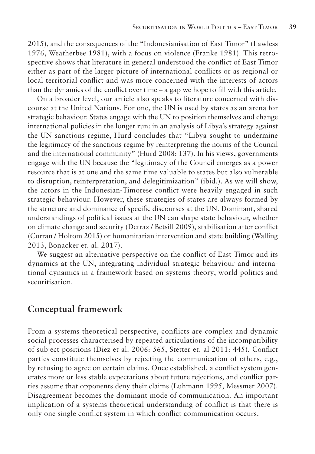2015), and the consequences of the "Indonesianisation of East Timor" (Lawless 1976, Weatherbee 1981), with a focus on violence (Franke 1981). This retrospective shows that literature in general understood the conflict of East Timor either as part of the larger picture of international conflicts or as regional or local territorial conflict and was more concerned with the interests of actors than the dynamics of the conflict over time – a gap we hope to fill with this article.

On a broader level, our article also speaks to literature concerned with discourse at the United Nations. For one, the UN is used by states as an arena for strategic behaviour. States engage with the UN to position themselves and change international policies in the longer run: in an analysis of Libya's strategy against the UN sanctions regime, Hurd concludes that "Libya sought to undermine the legitimacy of the sanctions regime by reinterpreting the norms of the Council and the international community" (Hurd 2008: 137). In his views, governments engage with the UN because the "legitimacy of the Council emerges as a power resource that is at one and the same time valuable to states but also vulnerable to disruption, reinterpretation, and delegitimization" (ibid.). As we will show, the actors in the Indonesian-Timorese conflict were heavily engaged in such strategic behaviour. However, these strategies of states are always formed by the structure and dominance of specific discourses at the UN. Dominant, shared understandings of political issues at the UN can shape state behaviour, whether on climate change and security (Detraz / Betsill 2009), stabilisation after conflict (Curran / Holtom 2015) or humanitarian intervention and state building (Walling 2013, Bonacker et. al. 2017).

We suggest an alternative perspective on the conflict of East Timor and its dynamics at the UN, integrating individual strategic behaviour and international dynamics in a framework based on systems theory, world politics and securitisation.

#### **Conceptual framework**

From a systems theoretical perspective, conflicts are complex and dynamic social processes characterised by repeated articulations of the incompatibility of subject positions (Diez et al. 2006: 565, Stetter et. al 2011: 445). Conflict parties constitute themselves by rejecting the communication of others, e.g., by refusing to agree on certain claims. Once established, a conflict system generates more or less stable expectations about future rejections, and conflict parties assume that opponents deny their claims (Luhmann 1995, Messmer 2007). Disagreement becomes the dominant mode of communication. An important implication of a systems theoretical understanding of conflict is that there is only one single conflict system in which conflict communication occurs.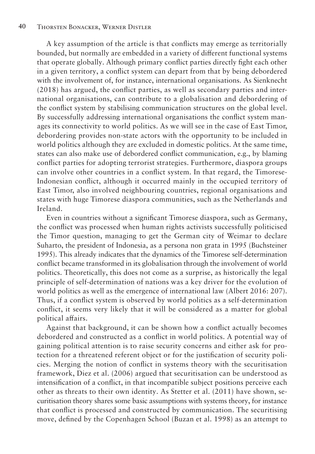A key assumption of the article is that conflicts may emerge as territorially bounded, but normally are embedded in a variety of different functional systems that operate globally. Although primary conflict parties directly fight each other in a given territory, a conflict system can depart from that by being debordered with the involvement of, for instance, international organisations. As Sienknecht (2018) has argued, the conflict parties, as well as secondary parties and international organisations, can contribute to a globalisation and debordering of the conflict system by stabilising communication structures on the global level. By successfully addressing international organisations the conflict system manages its connectivity to world politics. As we will see in the case of East Timor, debordering provides non-state actors with the opportunity to be included in world politics although they are excluded in domestic politics. At the same time, states can also make use of debordered conflict communication, e.g., by blaming conflict parties for adopting terrorist strategies. Furthermore, diaspora groups can involve other countries in a conflict system. In that regard, the Timorese-Indonesian conflict, although it occurred mainly in the occupied territory of East Timor, also involved neighbouring countries, regional organisations and states with huge Timorese diaspora communities, such as the Netherlands and Ireland.

Even in countries without a significant Timorese diaspora, such as Germany, the conflict was processed when human rights activists successfully politicised the Timor question, managing to get the German city of Weimar to declare Suharto, the president of Indonesia, as a persona non grata in 1995 (Buchsteiner 1995). This already indicates that the dynamics of the Timorese self-determination conflict became transformed in its globalisation through the involvement of world politics. Theoretically, this does not come as a surprise, as historically the legal principle of self-determination of nations was a key driver for the evolution of world politics as well as the emergence of international law (Albert 2016: 207). Thus, if a conflict system is observed by world politics as a self-determination conflict, it seems very likely that it will be considered as a matter for global political affairs.

Against that background, it can be shown how a conflict actually becomes debordered and constructed as a conflict in world politics. A potential way of gaining political attention is to raise security concerns and either ask for protection for a threatened referent object or for the justification of security policies. Merging the notion of conflict in systems theory with the securitisation framework, Diez et al. (2006) argued that securitisation can be understood as intensification of a conflict, in that incompatible subject positions perceive each other as threats to their own identity. As Stetter et al. (2011) have shown, securitisation theory shares some basic assumptions with systems theory, for instance that conflict is processed and constructed by communication. The securitising move, defined by the Copenhagen School (Buzan et al. 1998) as an attempt to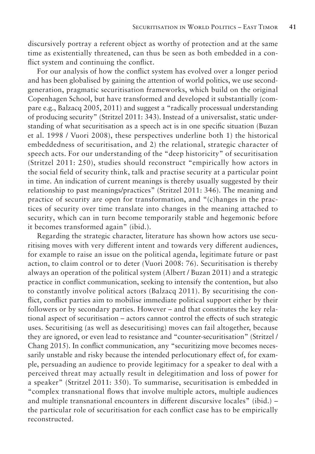discursively portray a referent object as worthy of protection and at the same time as existentially threatened, can thus be seen as both embedded in a conflict system and continuing the conflict.

For our analysis of how the conflict system has evolved over a longer period and has been globalised by gaining the attention of world politics, we use secondgeneration, pragmatic securitisation frameworks, which build on the original Copenhagen School, but have transformed and developed it substantially (compare e.g., Balzacq 2005, 2011) and suggest a "radically processual understanding of producing security" (Stritzel 2011: 343). Instead of a universalist, static understanding of what securitisation as a speech act is in one specific situation (Buzan et al. 1998 / Vuori 2008), these perspectives underline both 1) the historical embeddedness of securitisation, and 2) the relational, strategic character of speech acts. For our understanding of the "deep historicity" of securitisation (Stritzel 2011: 250), studies should reconstruct "empirically how actors in the social field of security think, talk and practise security at a particular point in time. An indication of current meanings is thereby usually suggested by their relationship to past meanings/practices" (Stritzel 2011: 346). The meaning and practice of security are open for transformation, and "(c)hanges in the practices of security over time translate into changes in the meaning attached to security, which can in turn become temporarily stable and hegemonic before it becomes transformed again" (ibid.).

Regarding the strategic character, literature has shown how actors use securitising moves with very different intent and towards very different audiences, for example to raise an issue on the political agenda, legitimate future or past action, to claim control or to deter (Vuori 2008: 76). Securitisation is thereby always an operation of the political system (Albert / Buzan 2011) and a strategic practice in conflict communication, seeking to intensify the contention, but also to constantly involve political actors (Balzacq 2011). By securitising the conflict, conflict parties aim to mobilise immediate political support either by their followers or by secondary parties. However – and that constitutes the key relational aspect of securitisation – actors cannot control the effects of such strategic uses. Securitising (as well as desecuritising) moves can fail altogether, because they are ignored, or even lead to resistance and "counter-securitisation" (Stritzel / Chang 2015). In conflict communication, any "securitizing move becomes necessarily unstable and risky because the intended perlocutionary effect of, for example, persuading an audience to provide legitimacy for a speaker to deal with a perceived threat may actually result in delegitimation and loss of power for a speaker" (Stritzel 2011: 350). To summarise, securitisation is embedded in "complex transnational flows that involve multiple actors, multiple audiences and multiple transnational encounters in different discursive locales" (ibid.) – the particular role of securitisation for each conflict case has to be empirically reconstructed.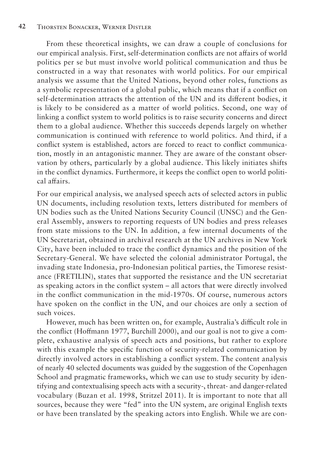From these theoretical insights, we can draw a couple of conclusions for our empirical analysis. First, self-determination conflicts are not affairs of world politics per se but must involve world political communication and thus be constructed in a way that resonates with world politics. For our empirical analysis we assume that the United Nations, beyond other roles, functions as a symbolic representation of a global public, which means that if a conflict on self-determination attracts the attention of the UN and its different bodies, it is likely to be considered as a matter of world politics. Second, one way of linking a conflict system to world politics is to raise security concerns and direct them to a global audience. Whether this succeeds depends largely on whether communication is continued with reference to world politics. And third, if a conflict system is established, actors are forced to react to conflict communication, mostly in an antagonistic manner. They are aware of the constant observation by others, particularly by a global audience. This likely initiates shifts in the conflict dynamics. Furthermore, it keeps the conflict open to world political affairs.

For our empirical analysis, we analysed speech acts of selected actors in public UN documents, including resolution texts, letters distributed for members of UN bodies such as the United Nations Security Council (UNSC) and the General Assembly, answers to reporting requests of UN bodies and press releases from state missions to the UN. In addition, a few internal documents of the UN Secretariat, obtained in archival research at the UN archives in New York City, have been included to trace the conflict dynamics and the position of the Secretary-General. We have selected the colonial administrator Portugal, the invading state Indonesia, pro-Indonesian political parties, the Timorese resistance (FRETILIN), states that supported the resistance and the UN secretariat as speaking actors in the conflict system – all actors that were directly involved in the conflict communication in the mid-1970s. Of course, numerous actors have spoken on the conflict in the UN, and our choices are only a section of such voices.

However, much has been written on, for example, Australia's difficult role in the conflict (Hoffmann 1977, Burchill 2000), and our goal is not to give a complete, exhaustive analysis of speech acts and positions, but rather to explore with this example the specific function of security-related communication by directly involved actors in establishing a conflict system. The content analysis of nearly 40 selected documents was guided by the suggestion of the Copenhagen School and pragmatic frameworks, which we can use to study security by identifying and contextualising speech acts with a security-, threat- and danger-related vocabulary (Buzan et al. 1998, Stritzel 2011). It is important to note that all sources, because they were "fed" into the UN system, are original English texts or have been translated by the speaking actors into English. While we are con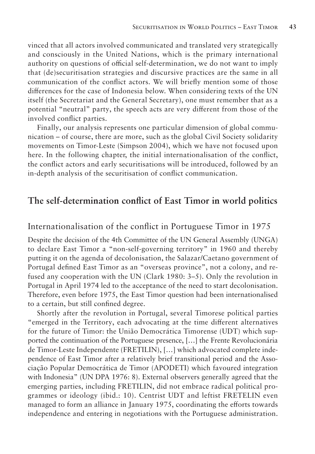vinced that all actors involved communicated and translated very strategically and consciously in the United Nations, which is the primary international authority on questions of official self-determination, we do not want to imply that (de)securitisation strategies and discursive practices are the same in all communication of the conflict actors. We will briefly mention some of those differences for the case of Indonesia below. When considering texts of the UN itself (the Secretariat and the General Secretary), one must remember that as a potential "neutral" party, the speech acts are very different from those of the involved conflict parties.

Finally, our analysis represents one particular dimension of global communication – of course, there are more, such as the global Civil Society solidarity movements on Timor-Leste (Simpson 2004), which we have not focused upon here. In the following chapter, the initial internationalisation of the conflict, the conflict actors and early securitisations will be introduced, followed by an in-depth analysis of the securitisation of conflict communication.

#### **The self-determination conflict of East Timor in world politics**

#### Internationalisation of the conflict in Portuguese Timor in 1975

Despite the decision of the 4th Committee of the UN General Assembly (UNGA) to declare East Timor a "non-self-governing territory" in 1960 and thereby putting it on the agenda of decolonisation, the Salazar/Caetano government of Portugal defined East Timor as an "overseas province", not a colony, and refused any cooperation with the UN (Clark 1980: 3–5). Only the revolution in Portugal in April 1974 led to the acceptance of the need to start decolonisation. Therefore, even before 1975, the East Timor question had been internationalised to a certain, but still confined degree.

Shortly after the revolution in Portugal, several Timorese political parties "emerged in the Territory, each advocating at the time different alternatives for the future of Timor: the União Democrática Timorense (UDT) which supported the continuation of the Portuguese presence, […] the Frente Revolucionária de Timor-Leste Independente (FRETILIN), […] which advocated complete independence of East Timor after a relatively brief transitional period and the Associação Popular Democrática de Timor (APODETI) which favoured integration with Indonesia" (UN DPA 1976: 8). External observers generally agreed that the emerging parties, including FRETILIN, did not embrace radical political programmes or ideology (ibid.: 10). Centrist UDT and leftist FRETELIN even managed to form an alliance in January 1975, coordinating the efforts towards independence and entering in negotiations with the Portuguese administration.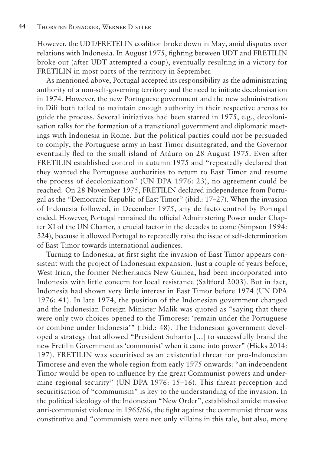However, the UDT/FRETELIN coalition broke down in May, amid disputes over relations with Indonesia. In August 1975, fighting between UDT and FRETILIN broke out (after UDT attempted a coup), eventually resulting in a victory for FRETILIN in most parts of the territory in September.

As mentioned above, Portugal accepted its responsibility as the administrating authority of a non-self-governing territory and the need to initiate decolonisation in 1974. However, the new Portuguese government and the new administration in Dili both failed to maintain enough authority in their respective arenas to guide the process. Several initiatives had been started in 1975, e.g., decolonisation talks for the formation of a transitional government and diplomatic meetings with Indonesia in Rome. But the political parties could not be persuaded to comply, the Portuguese army in East Timor disintegrated, and the Governor eventually fled to the small island of Atáuro on 28 August 1975. Even after FRETILIN established control in autumn 1975 and "repeatedly declared that they wanted the Portuguese authorities to return to East Timor and resume the process of decolonization" (UN DPA 1976: 23), no agreement could be reached. On 28 November 1975, FRETILIN declared independence from Portugal as the "Democratic Republic of East Timor" (ibid.: 17–27). When the invasion of Indonesia followed, in December 1975, any de facto control by Portugal ended. However, Portugal remained the official Administering Power under Chapter XI of the UN Charter, a crucial factor in the decades to come (Simpson 1994: 324), because it allowed Portugal to repeatedly raise the issue of self-determination of East Timor towards international audiences.

Turning to Indonesia, at first sight the invasion of East Timor appears consistent with the project of Indonesian expansion. Just a couple of years before, West Irian, the former Netherlands New Guinea, had been incorporated into Indonesia with little concern for local resistance (Saltford 2003). But in fact, Indonesia had shown very little interest in East Timor before 1974 (UN DPA 1976: 41). In late 1974, the position of the Indonesian government changed and the Indonesian Foreign Minister Malik was quoted as "saying that there were only two choices opened to the Timorese: 'remain under the Portuguese or combine under Indonesia'" (ibid.: 48). The Indonesian government developed a strategy that allowed "President Suharto […] to successfully brand the new Fretilin Government as 'communist' when it came into power" (Hicks 2014: 197). FRETILIN was securitised as an existential threat for pro-Indonesian Timorese and even the whole region from early 1975 onwards: "an independent Timor would be open to influence by the great Communist powers and undermine regional security" (UN DPA 1976: 15–16). This threat perception and securitisation of "communism" is key to the understanding of the invasion. In the political ideology of the Indonesian "New Order", established amidst massive anti-communist violence in 1965/66, the fight against the communist threat was constitutive and "communists were not only villains in this tale, but also, more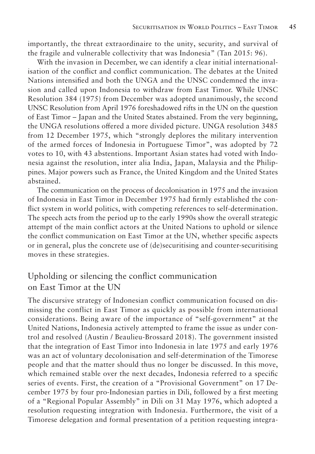importantly, the threat extraordinaire to the unity, security, and survival of the fragile and vulnerable collectivity that was Indonesia" (Tan 2015: 96).

With the invasion in December, we can identify a clear initial internationalisation of the conflict and conflict communication. The debates at the United Nations intensified and both the UNGA and the UNSC condemned the invasion and called upon Indonesia to withdraw from East Timor. While UNSC Resolution 384 (1975) from December was adopted unanimously, the second UNSC Resolution from April 1976 foreshadowed rifts in the UN on the question of East Timor – Japan and the United States abstained. From the very beginning, the UNGA resolutions offered a more divided picture. UNGA resolution 3485 from 12 December 1975, which "strongly deplores the military intervention of the armed forces of Indonesia in Portuguese Timor", was adopted by 72 votes to 10, with 43 abstentions. Important Asian states had voted with Indonesia against the resolution, inter alia India, Japan, Malaysia and the Philippines. Major powers such as France, the United Kingdom and the United States abstained.

The communication on the process of decolonisation in 1975 and the invasion of Indonesia in East Timor in December 1975 had firmly established the conflict system in world politics, with competing references to self-determination. The speech acts from the period up to the early 1990s show the overall strategic attempt of the main conflict actors at the United Nations to uphold or silence the conflict communication on East Timor at the UN, whether specific aspects or in general, plus the concrete use of (de)securitising and counter-securitising moves in these strategies.

#### Upholding or silencing the conflict communication on East Timor at the UN

The discursive strategy of Indonesian conflict communication focused on dismissing the conflict in East Timor as quickly as possible from international considerations. Being aware of the importance of "self-government" at the United Nations, Indonesia actively attempted to frame the issue as under control and resolved (Austin / Beaulieu-Brossard 2018). The government insisted that the integration of East Timor into Indonesia in late 1975 and early 1976 was an act of voluntary decolonisation and self-determination of the Timorese people and that the matter should thus no longer be discussed. In this move, which remained stable over the next decades, Indonesia referred to a specific series of events. First, the creation of a "Provisional Government" on 17 December 1975 by four pro-Indonesian parties in Dili, followed by a first meeting of a "Regional Popular Assembly" in Dili on 31 May 1976, which adopted a resolution requesting integration with Indonesia. Furthermore, the visit of a Timorese delegation and formal presentation of a petition requesting integra-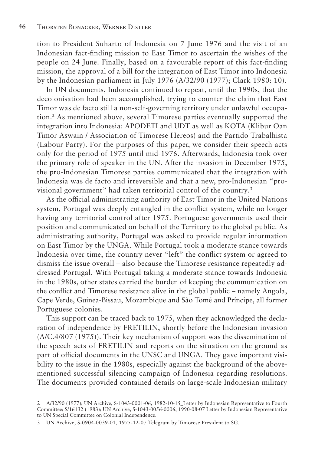tion to President Suharto of Indonesia on 7 June 1976 and the visit of an Indonesian fact-finding mission to East Timor to ascertain the wishes of the people on 24 June. Finally, based on a favourable report of this fact-finding mission, the approval of a bill for the integration of East Timor into Indonesia by the Indonesian parliament in July 1976 (A/32/90 (1977); Clark 1980: 10).

In UN documents, Indonesia continued to repeat, until the 1990s, that the decolonisation had been accomplished, trying to counter the claim that East Timor was de facto still a non-self-governing territory under unlawful occupation.2 As mentioned above, several Timorese parties eventually supported the integration into Indonesia: APODETI and UDT as well as KOTA (Klibur Oan Timor Aswain / Association of Timorese Hereos) and the Partido Trabalhista (Labour Party). For the purposes of this paper, we consider their speech acts only for the period of 1975 until mid-1976. Afterwards, Indonesia took over the primary role of speaker in the UN. After the invasion in December 1975, the pro-Indonesian Timorese parties communicated that the integration with Indonesia was de facto and irreversible and that a new, pro-Indonesian "provisional government" had taken territorial control of the country.<sup>3</sup>

As the official administrating authority of East Timor in the United Nations system, Portugal was deeply entangled in the conflict system, while no longer having any territorial control after 1975. Portuguese governments used their position and communicated on behalf of the Territory to the global public. As administrating authority, Portugal was asked to provide regular information on East Timor by the UNGA. While Portugal took a moderate stance towards Indonesia over time, the country never "left" the conflict system or agreed to dismiss the issue overall – also because the Timorese resistance repeatedly addressed Portugal. With Portugal taking a moderate stance towards Indonesia in the 1980s, other states carried the burden of keeping the communication on the conflict and Timorese resistance alive in the global public – namely Angola, Cape Verde, Guinea-Bissau, Mozambique and São Tomé and Príncipe, all former Portuguese colonies.

This support can be traced back to 1975, when they acknowledged the declaration of independence by FRETILIN, shortly before the Indonesian invasion (A/C.4/807 (1975)). Their key mechanism of support was the dissemination of the speech acts of FRETILIN and reports on the situation on the ground as part of official documents in the UNSC and UNGA. They gave important visibility to the issue in the 1980s, especially against the background of the abovementioned successful silencing campaign of Indonesia regarding resolutions. The documents provided contained details on large-scale Indonesian military

<sup>2</sup> A/32/90 (1977); UN Archive, S-1043-0001-06, 1982-10-15\_Letter by Indonesian Representative to Fourth Committee; S/16132 (1983); UN Archive, S-1043-0056-0006, 1990-08-07 Letter by Indonesian Representative to UN Special Committee on Colonial Independence.

<sup>3</sup> UN Archive, S-0904-0039-01, 1975-12-07 Telegram by Timorese President to SG.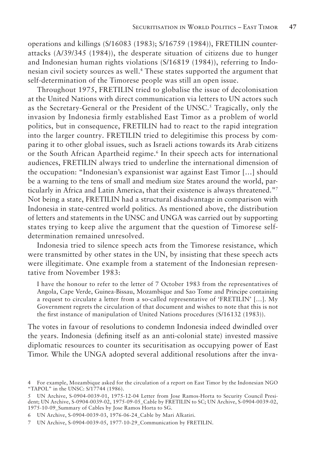operations and killings (S/16083 (1983); S/16759 (1984)), FRETILIN counterattacks (A/39/345 (1984)), the desperate situation of citizens due to hunger and Indonesian human rights violations (S/16819 (1984)), referring to Indonesian civil society sources as well.4 These states supported the argument that self-determination of the Timorese people was still an open issue.

Throughout 1975, FRETILIN tried to globalise the issue of decolonisation at the United Nations with direct communication via letters to UN actors such as the Secretary-General or the President of the UNSC.<sup>5</sup> Tragically, only the invasion by Indonesia firmly established East Timor as a problem of world politics, but in consequence, FRETILIN had to react to the rapid integration into the larger country. FRETILIN tried to delegitimise this process by comparing it to other global issues, such as Israeli actions towards its Arab citizens or the South African Apartheid regime.6 In their speech acts for international audiences, FRETILIN always tried to underline the international dimension of the occupation: "Indonesian's expansionist war against East Timor […] should be a warning to the tens of small and medium size States around the world, particularly in Africa and Latin America, that their existence is always threatened."7 Not being a state, FRETILIN had a structural disadvantage in comparison with Indonesia in state-centred world politics. As mentioned above, the distribution of letters and statements in the UNSC and UNGA was carried out by supporting states trying to keep alive the argument that the question of Timorese selfdetermination remained unresolved.

Indonesia tried to silence speech acts from the Timorese resistance, which were transmitted by other states in the UN, by insisting that these speech acts were illegitimate. One example from a statement of the Indonesian representative from November 1983:

I have the honour to refer to the letter of 7 October 1983 from the representatives of Angola, Cape Verde, Guinea-Bissau, Mozambique and Sao Tome and Principe containing a request to circulate a letter from a so-called representative of 'FRETILIN' […]. My Government regrets the circulation of that document and wishes to note that this is not the first instance of manipulation of United Nations procedures (S/16132 (1983)).

The votes in favour of resolutions to condemn Indonesia indeed dwindled over the years. Indonesia (defining itself as an anti-colonial state) invested massive diplomatic resources to counter its securitisation as occupying power of East Timor. While the UNGA adopted several additional resolutions after the inva-

<sup>4</sup> For example, Mozambique asked for the circulation of a report on East Timor by the Indonesian NGO "TAPOL" in the UNSC: S/17744 (1986).

<sup>5</sup> UN Archive, S-0904-0039-01, 1975-12-04 Letter from Jose Ramos-Horta to Security Council President; UN Archive, S-0904-0039-02, 1975-09-05\_Cable by FRETILIN to SC; UN Archive, S-0904-0039-02, 1975-10-09\_Summary of Cables by Jose Ramos Horta to SG.

<sup>6</sup> UN Archive, S-0904-0039-03, 1976-06-24\_Cable by Mari Alkatiri.

<sup>7</sup> UN Archive, S-0904-0039-05, 1977-10-29\_Communication by FRETILIN.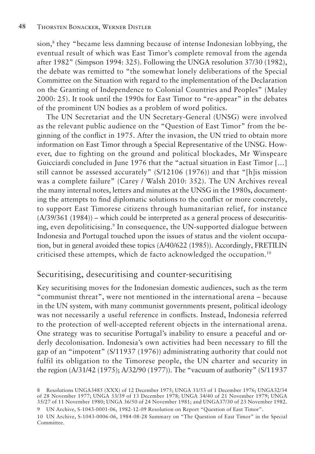sion,<sup>8</sup> they "became less damning because of intense Indonesian lobbying, the eventual result of which was East Timor's complete removal from the agenda after 1982" (Simpson 1994: 325). Following the UNGA resolution 37/30 (1982), the debate was remitted to "the somewhat lonely deliberations of the Special Committee on the Situation with regard to the implementation of the Declaration on the Granting of Independence to Colonial Countries and Peoples" (Maley 2000: 25). It took until the 1990s for East Timor to "re-appear" in the debates of the prominent UN bodies as a problem of word politics.

The UN Secretariat and the UN Secretary-General (UNSG) were involved as the relevant public audience on the "Question of East Timor" from the beginning of the conflict in 1975. After the invasion, the UN tried to obtain more information on East Timor through a Special Representative of the UNSG. However, due to fighting on the ground and political blockades, Mr Winspeare Guicciardi concluded in June 1976 that the "actual situation in East Timor […] still cannot be assessed accurately" (S/12106 (1976)) and that "[h]is mission was a complete failure" (Carey / Walsh 2010: 352). The UN Archives reveal the many internal notes, letters and minutes at the UNSG in the 1980s, documenting the attempts to find diplomatic solutions to the conflict or more concretely, to support East Timorese citizens through humanitarian relief, for instance (A/39/361 (1984)) – which could be interpreted as a general process of desecuritising, even depoliticising.<sup>9</sup> In consequence, the UN-supported dialogue between Indonesia and Portugal touched upon the issues of status and the violent occupation, but in general avoided these topics (A/40/622 (1985)). Accordingly, FRETILIN criticised these attempts, which de facto acknowledged the occupation.10

#### Securitising, desecuritising and counter-securitising

Key securitising moves for the Indonesian domestic audiences, such as the term "communist threat", were not mentioned in the international arena – because in the UN system, with many communist governments present, political ideology was not necessarily a useful reference in conflicts. Instead, Indonesia referred to the protection of well-accepted referent objects in the international arena. One strategy was to securitise Portugal's inability to ensure a peaceful and orderly decolonisation. Indonesia's own activities had been necessary to fill the gap of an "impotent" (S/11937 (1976)) administrating authority that could not fulfil its obligation to the Timorese people, the UN charter and security in the region (A/31/42 (1975); A/32/90 (1977)). The "vacuum of authority" (S/11937

<sup>8</sup> Resolutions UNGA3485 (XXX) of 12 December 1975; UNGA 31/53 of 1 December 1976; UNGA32/34 of 28 November 1977; UNGA 33/39 of 13 December 1978; UNGA 34/40 of 21 November 1979; UNGA 35/27 of 11 November 1980; UNGA 36/50 of 24 November 1981; and UNGA37/30 of 23 November 1982.

<sup>9</sup> UN Archive, S-1043-0001-06, 1982-12-09 Resolution on Report "Question of East Timor".

<sup>10</sup> UN Archive, S-1043-0006-06, 1984-08-28 Summary on "The Question of East Timor" in the Special Committee.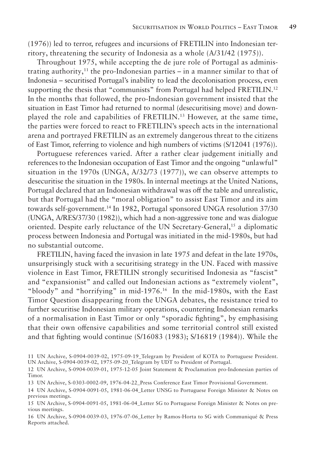(1976)) led to terror, refugees and incursions of FRETILIN into Indonesian territory, threatening the security of Indonesia as a whole (A/31/42 (1975)).

Throughout 1975, while accepting the de jure role of Portugal as administrating authority,<sup>11</sup> the pro-Indonesian parties – in a manner similar to that of Indonesia – securitised Portugal's inability to lead the decolonisation process, even supporting the thesis that "communists" from Portugal had helped FRETILIN.<sup>12</sup> In the months that followed, the pro-Indonesian government insisted that the situation in East Timor had returned to normal (desecuritising move) and downplayed the role and capabilities of FRETILIN.13 However, at the same time, the parties were forced to react to FRETILIN's speech acts in the international arena and portrayed FRETILIN as an extremely dangerous threat to the citizens of East Timor, referring to violence and high numbers of victims (S/12041 (1976)).

Portuguese references varied. After a rather clear judgement initially and references to the Indonesian occupation of East Timor and the ongoing "unlawful" situation in the 1970s (UNGA, A/32/73 (1977)), we can observe attempts to desecuritise the situation in the 1980s. In internal meetings at the United Nations, Portugal declared that an Indonesian withdrawal was off the table and unrealistic, but that Portugal had the "moral obligation" to assist East Timor and its aim towards self-government.14 In 1982, Portugal sponsored UNGA resolution 37/30 (UNGA, A/RES/37/30 (1982)), which had a non-aggressive tone and was dialogue oriented. Despite early reluctance of the UN Secretary-General,15 a diplomatic process between Indonesia and Portugal was initiated in the mid-1980s, but had no substantial outcome.

FRETILIN, having faced the invasion in late 1975 and defeat in the late 1970s, unsurprisingly stuck with a securitising strategy in the UN. Faced with massive violence in East Timor, FRETILIN strongly securitised Indonesia as "fascist" and "expansionist" and called out Indonesian actions as "extremely violent", "bloody" and "horrifying" in mid-1976.16 In the mid-1980s, with the East Timor Question disappearing from the UNGA debates, the resistance tried to further securitise Indonesian military operations, countering Indonesian remarks of a normalisation in East Timor or only "sporadic fighting", by emphasising that their own offensive capabilities and some territorial control still existed and that fighting would continue (S/16083 (1983); S/16819 (1984)). While the

11 UN Archive, S-0904-0039-02, 1975-09-19\_Telegram by President of KOTA to Portuguese President. UN Archive, S-0904-0039-02, 1975-09-20\_Telegram by UDT to President of Portugal.

15 UN Archive, S-0904-0091-05, 1981-06-04\_Letter SG to Portuguese Foreign Minister & Notes on previous meetings.

16 UN Archive, S-0904-0039-03, 1976-07-06\_Letter by Ramos-Horta to SG with Communiqué & Press Reports attached.

<sup>12</sup> UN Archive, S-0904-0039-01, 1975-12-05 Joint Statement & Proclamation pro-Indonesian parties of Timor.

<sup>13</sup> UN Archive, S-0303-0002-09, 1976-04-22\_Press Conference East Timor Provisional Government.

<sup>14</sup> UN Archive, S-0904-0091-05, 1981-06-04\_Letter UNSG to Portuguese Foreign Minister & Notes on previous meetings.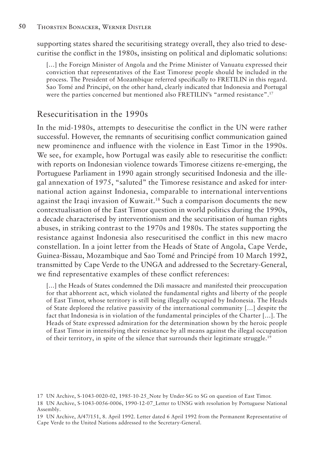supporting states shared the securitising strategy overall, they also tried to desecuritise the conflict in the 1980s, insisting on political and diplomatic solutions:

[...] the Foreign Minister of Angola and the Prime Minister of Vanuatu expressed their conviction that representatives of the East Timorese people should be included in the process. The President of Mozambique referred specifically to FRETILIN in this regard. Sao Tomé and Principé, on the other hand, clearly indicated that Indonesia and Portugal were the parties concerned but mentioned also FRETILIN's "armed resistance".17

#### Resecuritisation in the 1990s

In the mid-1980s, attempts to desecuritise the conflict in the UN were rather successful. However, the remnants of securitising conflict communication gained new prominence and influence with the violence in East Timor in the 1990s. We see, for example, how Portugal was easily able to resecuritise the conflict: with reports on Indonesian violence towards Timorese citizens re-emerging, the Portuguese Parliament in 1990 again strongly securitised Indonesia and the illegal annexation of 1975, "saluted" the Timorese resistance and asked for international action against Indonesia, comparable to international interventions against the Iraqi invasion of Kuwait.18 Such a comparison documents the new contextualisation of the East Timor question in world politics during the 1990s, a decade characterised by interventionism and the securitisation of human rights abuses, in striking contrast to the 1970s and 1980s. The states supporting the resistance against Indonesia also resecuritised the conflict in this new macro constellation. In a joint letter from the Heads of State of Angola, Cape Verde, Guinea-Bissau, Mozambique and Sao Tomé and Principé from 10 March 1992, transmitted by Cape Verde to the UNGA and addressed to the Secretary-General, we find representative examples of these conflict references:

[...] the Heads of States condemned the Dili massacre and manifested their preoccupation for that abhorrent act, which violated the fundamental rights and liberty of the people of East Timor, whose territory is still being illegally occupied by Indonesia. The Heads of State deplored the relative passivity of the international community […] despite the fact that Indonesia is in violation of the fundamental principles of the Charter […]. The Heads of State expressed admiration for the determination shown by the heroic people of East Timor in intensifying their resistance by all means against the illegal occupation of their territory, in spite of the silence that surrounds their legitimate struggle.<sup>19</sup>

<sup>17</sup> UN Archive, S-1043-0020-02, 1985-10-25\_Note by Under-SG to SG on question of East Timor.

<sup>18</sup> UN Archive, S-1043-0056-0006, 1990-12-07\_Letter to UNSG with resolution by Portuguese National Assembly.

<sup>19</sup> UN Archive, A/47/151, 8. April 1992. Letter dated 6 April 1992 from the Permanent Representative of Cape Verde to the United Nations addressed to the Secretary-General.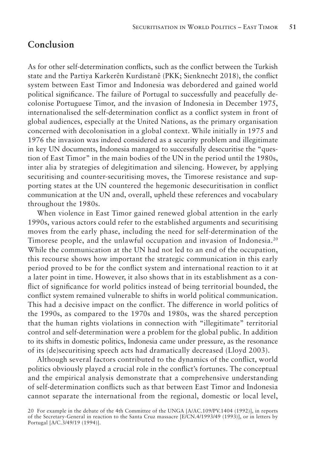#### **Conclusion**

As for other self-determination conflicts, such as the conflict between the Turkish state and the Partiya Karkerên Kurdistanê (PKK; Sienknecht 2018), the conflict system between East Timor and Indonesia was debordered and gained world political significance. The failure of Portugal to successfully and peacefully decolonise Portuguese Timor, and the invasion of Indonesia in December 1975, internationalised the self-determination conflict as a conflict system in front of global audiences, especially at the United Nations, as the primary organisation concerned with decolonisation in a global context. While initially in 1975 and 1976 the invasion was indeed considered as a security problem and illegitimate in key UN documents, Indonesia managed to successfully desecuritise the "question of East Timor" in the main bodies of the UN in the period until the 1980s, inter alia by strategies of delegitimation and silencing. However, by applying securitising and counter-securitising moves, the Timorese resistance and supporting states at the UN countered the hegemonic desecuritisation in conflict communication at the UN and, overall, upheld these references and vocabulary throughout the 1980s.

When violence in East Timor gained renewed global attention in the early 1990s, various actors could refer to the established arguments and securitising moves from the early phase, including the need for self-determination of the Timorese people, and the unlawful occupation and invasion of Indonesia.20 While the communication at the UN had not led to an end of the occupation, this recourse shows how important the strategic communication in this early period proved to be for the conflict system and international reaction to it at a later point in time. However, it also shows that in its establishment as a conflict of significance for world politics instead of being territorial bounded, the conflict system remained vulnerable to shifts in world political communication. This had a decisive impact on the conflict. The difference in world politics of the 1990s, as compared to the 1970s and 1980s, was the shared perception that the human rights violations in connection with "illegitimate" territorial control and self-determination were a problem for the global public. In addition to its shifts in domestic politics, Indonesia came under pressure, as the resonance of its (de)securitising speech acts had dramatically decreased (Lloyd 2003).

Although several factors contributed to the dynamics of the conflict, world politics obviously played a crucial role in the conflict's fortunes. The conceptual and the empirical analysis demonstrate that a comprehensive understanding of self-determination conflicts such as that between East Timor and Indonesia cannot separate the international from the regional, domestic or local level,

<sup>20</sup> For example in the debate of the 4th Committee of the UNGA [A/AC.109/PV.1404 (1992)], in reports of the Secretary-General in reaction to the Santa Cruz massacre [E/CN.4/1993/49 (1993)], or in letters by Portugal [A/C.3/49/19 (1994)].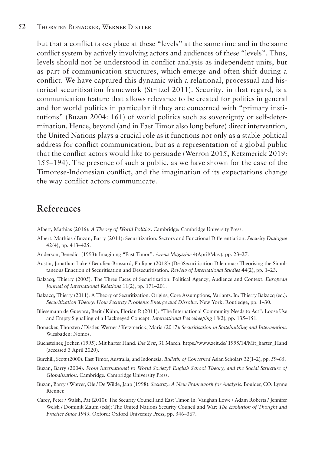but that a conflict takes place at these "levels" at the same time and in the same conflict system by actively involving actors and audiences of these "levels". Thus, levels should not be understood in conflict analysis as independent units, but as part of communication structures, which emerge and often shift during a conflict. We have captured this dynamic with a relational, processual and historical securitisation framework (Stritzel 2011). Security, in that regard, is a communication feature that allows relevance to be created for politics in general and for world politics in particular if they are concerned with "primary institutions" (Buzan 2004: 161) of world politics such as sovereignty or self-determination. Hence, beyond (and in East Timor also long before) direct intervention, the United Nations plays a crucial role as it functions not only as a stable political address for conflict communication, but as a representation of a global public that the conflict actors would like to persuade (Werron 2015, Ketzmerick 2019: 155–194). The presence of such a public, as we have shown for the case of the Timorese-Indonesian conflict, and the imagination of its expectations change the way conflict actors communicate.

#### **References**

Albert, Mathias (2016): *A Theory of World Politics*. Cambridge: Cambridge University Press.

- Albert, Mathias / Buzan, Barry (2011): Securitization, Sectors and Functional Differentiation. *Security Dialogue*  42(4), pp. 413–425.
- Anderson, Benedict (1993): Imagining "East Timor". *Arena Magazine* 4(April/May), pp. 23–27.
- Austin, Jonathan Luke / Beaulieu-Brossard, Philippe (2018): (De-)Securitisation Dilemmas: Theorising the Simultaneous Enaction of Securitisation and Desecuritisation. *Review of International Studies* 44(2), pp. 1–23.
- Balzacq, Thierry (2005): The Three Faces of Securitization: Political Agency, Audience and Context. *European Journal of International Relations* 11(2), pp. 171–201.
- Balzacq, Thierry (2011): A Theory of Securitization. Origins, Core Assumptions, Variants. In: Thierry Balzacq (ed.): *Securitization Theory: How Security Problems Emerge and Dissolve*. New York: Routledge, pp. 1–30.
- Bliesemann de Guevara, Berit / Kühn, Florian P. (2011): "The International Community Needs to Act": Loose Use and Empty Signalling of a Hackneyed Concept. *International Peacekeeping* 18(2), pp. 135–151.
- Bonacker, Thorsten / Distler, Werner / Ketzmerick, Maria (2017): *Securitisation in Statebuilding and Intervention.*  Wiesbaden: Nomos.
- Buchsteiner, Jochen (1995): Mit harter Hand. *Die Zeit*, 31 March. https://www.zeit.de/ 1995/14/Mit\_harter\_Hand (accessed 3 April 2020).
- Burchill, Scott (2000): East Timor, Australia, and Indonesia. *Bulletin of Concerned* Asian Scholars 32(1–2), pp. 59–65.
- Buzan, Barry (2004): *From International to World Society? English School Theory, and the Social Structure of Globalization*. Cambridge: Cambridge University Press.
- Buzan, Barry / Wæver, Ole / De Wilde, Jaap (1998): *Security: A New Framework for Analysis*. Boulder, CO: Lynne Rienner.
- Carey, Peter / Walsh, Pat (2010): The Security Council and East Timor. In: Vaughan Lowe / Adam Roberts / Jennifer Welsh / Dominik Zaum (eds): The United Nations Security Council and War: *The Evolution of Thought and Practice Since 1945.* Oxford: Oxford University Press, pp. 346–367.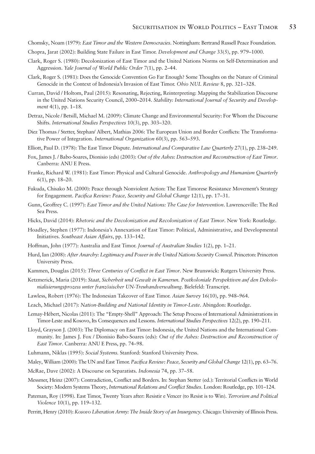- Chomsky, Noam (1979): *East Timor and the Western Democracies*. Nottingham: Bertrand Russell Peace Foundation.
- Chopra, Jarat (2002): Building State Failure in East Timor. *Development and Change* 33(5), pp. 979–1000.
- Clark, Roger S. (1980): Decolonization of East Timor and the United Nations Norms on Self-Determination and Aggression. *Yale Journal of World Public Order* 7(1), pp. 2–44.
- Clark, Roger S. (1981): Does the Genocide Convention Go Far Enough? Some Thoughts on the Nature of Criminal Genocide in the Context of Indonesia's Invasion of East Timor. *Ohio NUL Review* 8, pp. 321–328.
- Curran, David / Holtom, Paul (2015): Resonating, Rejecting, Reinterpreting: Mapping the Stabilization Discourse in the United Nations Security Council, 2000–2014. *Stability: International Journal of Security and Development* 4(1), pp. 1–18.
- Detraz, Nicole / Betsill, Michael M. (2009): Climate Change and Environmental Security: For Whom the Discourse Shifts. *International Studies Perspectives* 10(3), pp. 303–320.
- Diez Thomas / Stetter, Stephan/ Albert, Mathias 2006: The European Union and Border Conflicts: The Transformative Power of Integration. *International Organization* 60(3), pp. 563–593.
- Elliott, Paul D. (1978): The East Timor Dispute. *International and Comparative Law Quarterly* 27(1), pp. 238–249.
- Fox, James J. / Babo-Soares, Dionisio (eds) (2003): *Out of the Ashes: Destruction and Reconstruction of East Timor*. Canberra: ANU E Press.
- Franke, Richard W. (1981): East Timor: Physical and Cultural Genocide. *Anthropology and Humanism Quarterly*  6(1), pp. 18–20.
- Fukuda, Chisako M. (2000): Peace through Nonviolent Action: The East Timorese Resistance Movement's Strategy for Engagement. *Pacifica Review: Peace, Security and Global Change* 12(1), pp. 17–31.
- Gunn, Geoffrey C. (1997): *East Timor and the United Nations: The Case for Intervention*. Lawrenceville: The Red Sea Press.
- Hicks, David (2014): *Rhetoric and the Decolonization and Recolonization of East Timor*. New York: Routledge.
- Hoadley, Stephen (1977): Indonesia's Annexation of East Timor: Political, Administrative, and Developmental Initiatives. *Southeast Asian Affairs*, pp. 133–142.
- Hoffman, John (1977): Australia and East Timor. *Journal of Australian Studies* 1(2), pp. 1–21.
- Hurd, Ian (2008): *After Anarchy: Legitimacy and Power in the United Nations Security Council*. Princeton: Princeton University Press.
- Kammen, Douglas (2015): *Three Centuries of Conflict in East Timor*. New Brunswick: Rutgers University Press.
- Ketzmerick, Maria (2019): *Staat, Sicherheit und Gewalt in Kamerun. Postkoloniale Perspektiven auf den Dekolonialisierungsprozess unter französischer UN-Treuhandverwaltung*. Bielefeld: Transcript.
- Lawless, Robert (1976): The Indonesian Takeover of East Timor. *Asian Survey* 16(10), pp. 948–964.
- Leach, Michael (2017): *Nation-Building and National Identity in Timor-Leste*. Abingdon: Routledge.
- Lemay-Hébert, Nicolas (2011): The "Empty-Shell" Approach: The Setup Process of International Administrations in Timor-Leste and Kosovo, Its Consequences and Lessons. *International Studies Perspectives* 12(2), pp. 190–211.
- Lloyd, Grayson J. (2003): The Diplomacy on East Timor: Indonesia, the United Nations and the International Community. In: James J. Fox / Dionisio Babo-Soares (eds): *Out of the Ashes: Destruction and Reconstruction of East Timor*. Canberra: ANU E Press, pp. 74–98.
- Luhmann, Niklas (1995): *Social Systems.* Stanford: Stanford University Press.
- Maley, William (2000): The UN and East Timor. *Pacifica Review: Peace, Security and Global Change* 12(1), pp. 63–76.
- McRae, Dave (2002): A Discourse on Separatists. *Indonesia* 74, pp. 37–58.
- Messmer, Heinz (2007): Contradiction, Conflict and Borders. In: Stephan Stetter (ed.): Territorial Conflicts in World Society: Modern Systems Theory, *International Relations and Conflict Studies*. London: Routledge, pp. 101–124.
- Pateman, Roy (1998). East Timor, Twenty Years after: Resistir e Vencer (to Resist is to Win). *Terrorism and Political Violence* 10(1), pp. 119–132.
- Perritt, Henry (2010): *Kosovo Liberation Army: The Inside Story of an Insurgency*. Chicago: University of Illinois Press.